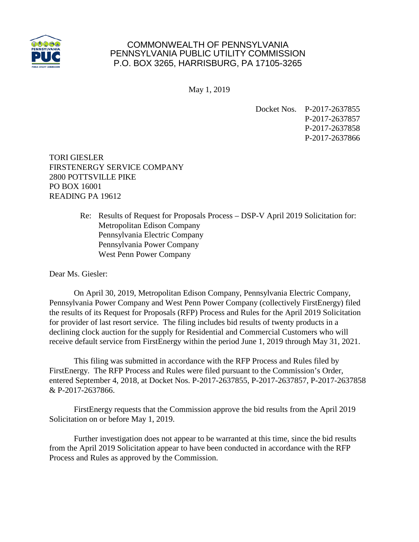

## COMMONWEALTH OF PENNSYLVANIA PENNSYLVANIA PUBLIC UTILITY COMMISSION P.O. BOX 3265, HARRISBURG, PA 17105-3265

May 1, 2019

Docket Nos. P-2017-2637855 P-2017-2637857 P-2017-2637858 P-2017-2637866

TORI GIESLER FIRSTENERGY SERVICE COMPANY 2800 POTTSVILLE PIKE PO BOX 16001 READING PA 19612

> Re: Results of Request for Proposals Process – DSP-V April 2019 Solicitation for: Metropolitan Edison Company Pennsylvania Electric Company Pennsylvania Power Company West Penn Power Company

Dear Ms. Giesler:

On April 30, 2019, Metropolitan Edison Company, Pennsylvania Electric Company, Pennsylvania Power Company and West Penn Power Company (collectively FirstEnergy) filed the results of its Request for Proposals (RFP) Process and Rules for the April 2019 Solicitation for provider of last resort service. The filing includes bid results of twenty products in a declining clock auction for the supply for Residential and Commercial Customers who will receive default service from FirstEnergy within the period June 1, 2019 through May 31, 2021.

This filing was submitted in accordance with the RFP Process and Rules filed by FirstEnergy. The RFP Process and Rules were filed pursuant to the Commission's Order, entered September 4, 2018, at Docket Nos. P-2017-2637855, P-2017-2637857, P-2017-2637858 & P-2017-2637866.

FirstEnergy requests that the Commission approve the bid results from the April 2019 Solicitation on or before May 1, 2019.

Further investigation does not appear to be warranted at this time, since the bid results from the April 2019 Solicitation appear to have been conducted in accordance with the RFP Process and Rules as approved by the Commission.